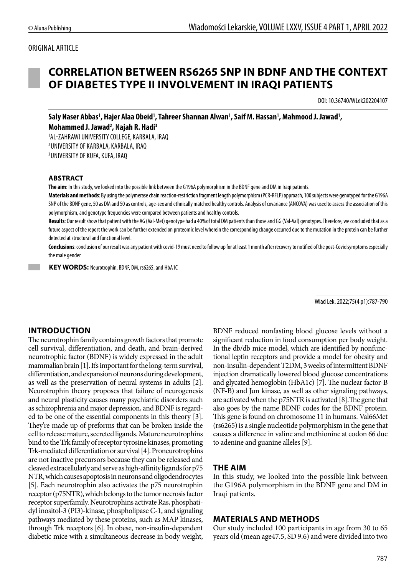### ORIGINAL ARTICLE

# **CORRELATION BETWEEN RS6265 SNP IN BDNF AND THE CONTEXT OF DIABETES TYPE II INVOLVEMENT IN IRAQI PATIENTS**

DOI: 10.36740/WLek202204107

**Saly Naser Abbas1 , Hajer Alaa Obeid1 , Tahreer Shannan Alwan1 , Saif M. Hassan1 , Mahmood J. Jawad1 , Mohammed J. Jawad2 , Najah R. Hadi3**

1 AL-ZAHRAWI UNIVERSITY COLLEGE, KARBALA, IRAQ 2 UNIVERSITY OF KARBALA, KARBALA, IRAQ 3 UNIVERSITY OF KUFA, KUFA, IRAQ

#### **ABSTRACT**

**The aim**: In this study, we looked into the possible link between the G196A polymorphism in the BDNF gene and DM in Iraqi patients.

**Materials and methods**: By using the polymerase chain reaction-restriction fragment length polymorphism (PCR-RFLP) approach, 100 subjects were genotyped for the G196A SNP of the BDNF gene, 50 as DM and 50 as controls, age-sex and ethnically matched healthy controls. Analysis of covariance (ANCOVA) was used to assess the association of this polymorphism, and genotype frequencies were compared between patients and healthy controls.

**Results**: Our result show that patient with the AG (Val-Met) genotype had a 40%of total DM patients than those and GG (Val-Val) genotypes. Therefore, we concluded that as a future aspect of the report the work can be further extended on proteomic level wherein the corresponding change occurred due to the mutation in the protein can be further detected at structural and functional level.

**Conclusions**: conclusion of our result was any patient with covid-19 must need to follow up for at least 1 month after recovery to notified of the post-Covid symptoms especially the male gender

 **KEY WORDS:** Neurotrophin, BDNF, DM, rs6265, and HbA1C

Wiad Lek. 2022;75(4 p1):787-790

### **INTRODUCTION**

The neurotrophin family contains growth factors that promote cell survival, differentiation, and death, and brain-derived neurotrophic factor (BDNF) is widely expressed in the adult mammalian brain [1]. It's important for the long-term survival, differentiation, and expansion of neurons during development, as well as the preservation of neural systems in adults [2]. Neurotrophin theory proposes that failure of neurogenesis and neural plasticity causes many psychiatric disorders such as schizophrenia and major depression, and BDNF is regarded to be one of the essential components in this theory [3]. They're made up of preforms that can be broken inside the cell to release mature, secreted ligands. Mature neurotrophins bind to the Trk family of receptor tyrosine kinases, promoting Trk-mediated differentiation or survival [4]. Proneurotrophins are not inactive precursors because they can be released and cleaved extracellularly and serve as high-affinity ligands for p75 NTR, which causes apoptosis in neurons and oligodendrocytes [5]. Each neurotrophin also activates the p75 neurotrophin receptor (p75NTR), which belongs to the tumor necrosis factor receptor superfamily. Neurotrophins activate Ras, phosphatidyl inositol-3 (PI3)-kinase, phospholipase C-1, and signaling pathways mediated by these proteins, such as MAP kinases, through Trk receptors [6]. In obese, non-insulin-dependent diabetic mice with a simultaneous decrease in body weight, BDNF reduced nonfasting blood glucose levels without a significant reduction in food consumption per body weight. In the db/db mice model, which are identified by nonfunctional leptin receptors and provide a model for obesity and non-insulin-dependent T2DM, 3 weeks of intermittent BDNF injection dramatically lowered blood glucose concentrations and glycated hemoglobin (HbA1c) [7]. The nuclear factor-B (NF-B) and Jun kinase, as well as other signaling pathways, are activated when the p75NTR is activated [8].The gene that also goes by the name BDNF codes for the BDNF protein. This gene is found on chromosome 11 in humans. Val66Met (rs6265) is a single nucleotide polymorphism in the gene that causes a difference in valine and methionine at codon 66 due to adenine and guanine alleles [9].

### **THE AIM**

In this study, we looked into the possible link between the G196A polymorphism in the BDNF gene and DM in Iraqi patients.

### **MATERIALS AND METHODS**

Our study included 100 participants in age from 30 to 65 years old (mean age47.5, SD 9.6) and were divided into two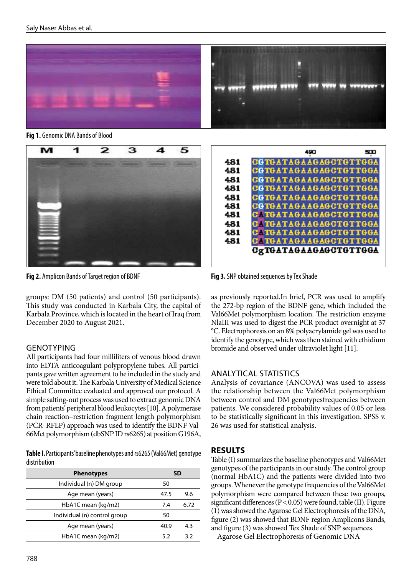

**Fig 1.** Genomic DNA Bands of Blood



**Fig 2.** Amplicon Bands of Target region of BDNF **Fig 3.** SNP obtained sequences by Tex Shade

groups: DM (50 patients) and control (50 participants). This study was conducted in Karbala City, the capital of Karbala Province, which is located in the heart of Iraq from December 2020 to August 2021.

# **GENOTYPING**

All participants had four milliliters of venous blood drawn into EDTA anticoagulant polypropylene tubes. All participants gave written agreement to be included in the study and were told about it. The Karbala University of Medical Science Ethical Committee evaluated and approved our protocol. A simple salting-out process was used to extract genomic DNA from patients' peripheral blood leukocytes [10]. A polymerase chain reaction–restriction fragment length polymorphism (PCR–RFLP) approach was used to identify the BDNF Val-66Met polymorphism (dbSNP ID rs6265) at position G196A,

**Table I.** Participants' baseline phenotypes and rs6265 (Val66Met) genotype distribution

| <b>Phenotypes</b>            | SD   |      |
|------------------------------|------|------|
| Individual (n) DM group      | 50   |      |
| Age mean (years)             | 47.5 | 9.6  |
| HbA1C mean (kg/m2)           | 7.4  | 6.72 |
| Individual (n) control group | 50   |      |
| Age mean (years)             | 40.9 | 4.3  |
| HbA1C mean (kg/m2)           | 5.2  | 3.2  |



as previously reported.In brief, PCR was used to amplify the 272-bp region of the BDNF gene, which included the Val66Met polymorphism location. The restriction enzyme NlaIII was used to digest the PCR product overnight at 37 °C. Electrophoresis on an 8% polyacrylamide gel was used to identify the genotype, which was then stained with ethidium bromide and observed under ultraviolet light [11].

### ANALYTICAL STATISTICS

Analysis of covariance (ANCOVA) was used to assess the relationship between the Val66Met polymorphism between control and DM genotypesfrequencies between patients. We considered probability values of 0.05 or less to be statistically significant in this investigation. SPSS v. 26 was used for statistical analysis.

# **RESULTS**

Table (I) summarizes the baseline phenotypes and Val66Met genotypes of the participants in our study. The control group (normal HbA1C) and the patients were divided into two groups. Whenever the genotype frequencies of the Val66Met polymorphism were compared between these two groups, significant differences ( $P < 0.05$ ) were found, table (II). Figure (1) was showed the Agarose Gel Electrophoresis of the DNA, figure (2) was showed that BDNF region Amplicons Bands, and figure (3) was showed Tex Shade of SNP sequences.

Agarose Gel Electrophoresis of Genomic DNA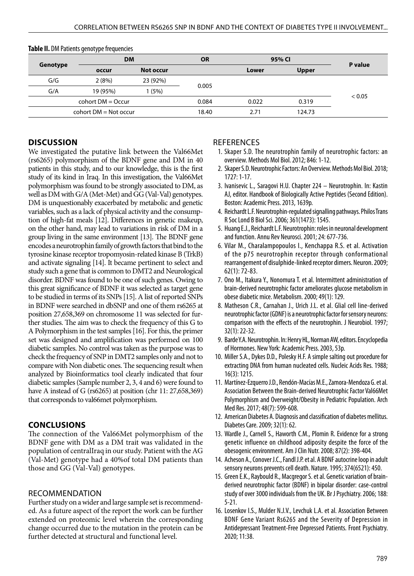| Genotype                | <b>DM</b> |           | <b>OR</b> | 95% CI |              |         |
|-------------------------|-----------|-----------|-----------|--------|--------------|---------|
|                         | occur     | Not occur |           | Lower  | <b>Upper</b> | P value |
| G/G                     | 2(8%)     | 23 (92%)  | 0.005     |        |              |         |
| G/A                     | 19 (95%)  | 1 (5%)    |           |        |              |         |
| cohort $DM = Occur$     |           | 0.084     | 0.022     | 0.319  | < 0.05       |         |
| cohort $DM = Not occur$ |           | 18.40     | 2.71      | 124.73 |              |         |

#### **Table II.** DM Patients genotype frequencies

# **DISCUSSION**

We investigated the putative link between the Val66Met (rs6265) polymorphism of the BDNF gene and DM in 40 patients in this study, and to our knowledge, this is the first study of its kind in Iraq. In this investigation, the Val66Met polymorphism was found to be strongly associated to DM, as well as DM with G/A (Met-Met) and GG (Val-Val) genotypes. DM is unquestionably exacerbated by metabolic and genetic variables, such as a lack of physical activity and the consumption of high-fat meals [12]. Differences in genetic makeup, on the other hand, may lead to variations in risk of DM in a group living in the same environment [13]. The BDNF gene encodes a neurotrophin family of growth factors that bind to the tyrosine kinase receptor tropomyosin-related kinase B (TrkB) and activate signaling [14]. It became pertinent to select and study such a gene that is common to DMT2 and Neurological disorder. BDNF was found to be one of such genes. Owing to this great significance of BDNF it was selected as target gene to be studied in terms of its SNPs [15]. A list of reported SNPs in BDNF were searched in dbSNP and one of them rs6265 at position 27,658,369 on chromosome 11 was selected for further studies. The aim was to check the frequency of this G to A Polymorphism in the test samples [16]. For this, the primer set was designed and amplification was performed on 100 diabetic samples. No control was taken as the purpose was to check the frequency of SNP in DMT2 samples only and not to compare with Non diabetic ones. The sequencing result when analyzed by Bioinformatics tool clearly indicated that four diabetic samples (Sample number 2, 3, 4 and 6) were found to have A instead of G (rs6265) at position (chr 11: 27,658,369) that corresponds to val66met polymorphism.

# **CONCLUSIONS**

The connection of the Val66Met polymorphism of the BDNF gene with DM as a DM trait was validated in the population of centralIraq in our study. Patient with the AG (Val-Met) genotype had a 40%of total DM patients than those and GG (Val-Val) genotypes.

# RECOMMENDATION

Further study on a wider and large sample set is recommended. As a future aspect of the report the work can be further extended on proteomic level wherein the corresponding change occurred due to the mutation in the protein can be further detected at structural and functional level.

# **REFERENCES**

- 1. Skaper S.D. The neurotrophin family of neurotrophic factors: an overview. Methods Mol Biol. 2012; 846: 1-12.
- 2. Skaper S.D. Neurotrophic Factors: An Overview. Methods Mol Biol. 2018; 1727: 1-17.
- 3. Ivanisevic L., Saragovi H.U. Chapter 224 Neurotrophin. In: Kastin AJ, editor. Handbook of Biologically Active Peptides (Second Edition). Boston: Academic Press. 2013, 1639p.
- 4. Reichardt L.F. Neurotrophin-regulated signalling pathways. Philos Trans R Soc Lond B Biol Sci. 2006; 361(1473): 1545.
- 5. Huang E.J., Reichardt L.F. Neurotrophin: roles in neuronal development and function. Annu Rev Neurosci. 2001; 24: 677-736.
- 6. Vilar M., Charalampopoulos I., Kenchappa R.S. et al. Activation of the p75 neurotrophin receptor through conformational rearrangement of disulphide-linked receptor dimers. Neuron. 2009; 62(1): 72-83.
- 7. Ono M., Itakura Y., Nonomura T. et al. Intermittent administration of brain-derived neurotrophic factor ameliorates glucose metabolism in obese diabetic mice. Metabolism. 2000; 49(1): 129.
- 8. Matheson C.R., Carnahan J., Urich J.L. et al. Glial cell line-derived neurotrophic factor (GDNF) is a neurotrophic factor for sensory neurons: comparison with the effects of the neurotrophin. J Neurobiol. 1997; 32(1): 22-32.
- 9. Barde Y.A. Neurotrophin. In: Henry HL, Norman AW, editors. Encyclopedia of Hormones. New York: Academic Press. 2003, 53p.
- 10. Miller S.A., Dykes D.D., Polesky H.F. A simple salting out procedure for extracting DNA from human nucleated cells. Nucleic Acids Res. 1988; 16(3): 1215.
- 11. Martínez-Ezquerro J.D., Rendón-Macías M.E., Zamora-Mendoza G. et al. Association Between the Brain-derived Neurotrophic Factor Val66Met Polymorphism and Overweight/Obesity in Pediatric Population. Arch Med Res. 2017; 48(7): 599-608.
- 12. American Diabetes A. Diagnosis and classification of diabetes mellitus. Diabetes Care. 2009; 32(1): 62.
- 13. Wardle J., Carnell S., Haworth C.M., Plomin R. Evidence for a strong genetic influence on childhood adiposity despite the force of the obesogenic environment. Am J Clin Nutr. 2008; 87(2): 398-404.
- 14. Acheson A., Conover J.C., Fandl J.P. et al. A BDNF autocrine loop in adult sensory neurons prevents cell death. Nature. 1995; 374(6521): 450.
- 15. Green E.K., Raybould R., Macgregor S. et al. Genetic variation of brainderived neurotrophic factor (BDNF) in bipolar disorder: case-control study of over 3000 individuals from the UK. Br J Psychiatry. 2006; 188: 5-21.
- 16. Losenkov I.S., Mulder N.J.V., Levchuk L.A. et al. Association Between BDNF Gene Variant Rs6265 and the Severity of Depression in Antidepressant Treatment-Free Depressed Patients. Front Psychiatry. 2020; 11:38.